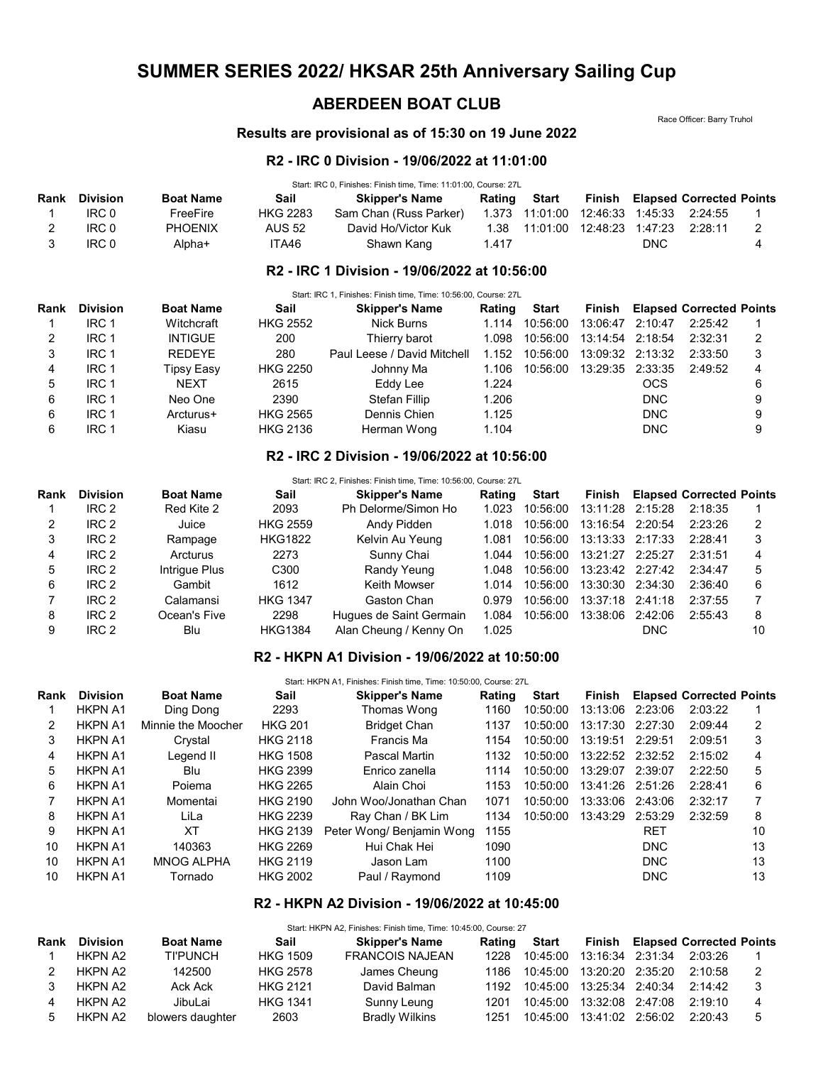# SUMMER SERIES 2022/ HKSAR 25th Anniversary Sailing Cup

# ABERDEEN BOAT CLUB

Race Officer: Barry Truhol

## Results are provisional as of 15:30 on 19 June 2022

#### R2 - IRC 0 Division - 19/06/2022 at 11:01:00

Start: IRC 0, Finishes: Finish time, Time: 11:01:00, Course: 27L

| Rank | Division | <b>Boat Name</b> | Sail            | <b>Skipper's Name</b>  |       | Rating Start                                |            | <b>Finish Elapsed Corrected Points</b> |  |
|------|----------|------------------|-----------------|------------------------|-------|---------------------------------------------|------------|----------------------------------------|--|
|      | IRC 0    | FreeFire         | <b>HKG 2283</b> | Sam Chan (Russ Parker) |       | 1.373  11:01:00  12:46:33  1:45:33  2:24:55 |            |                                        |  |
|      | IRC 0    | <b>PHOENIX</b>   | AUS 52          | David Ho/Victor Kuk    |       | 1.38  11:01:00  12:48:23  1:47:23  2:28:11  |            |                                        |  |
|      | IRC 0    | Alpha+           | ITA46           | Shawn Kang             | 1.417 |                                             | <b>DNC</b> |                                        |  |

## R2 - IRC 1 Division - 19/06/2022 at 10:56:00

|      |                 |                   |                 | Start: IRC 1, Finishes: Finish time, Time: 10:56:00, Course: 27L |        |          |                  |            |                                 |   |
|------|-----------------|-------------------|-----------------|------------------------------------------------------------------|--------|----------|------------------|------------|---------------------------------|---|
| Rank | <b>Division</b> | <b>Boat Name</b>  | Sail            | <b>Skipper's Name</b>                                            | Rating | Start    | Finish           |            | <b>Elapsed Corrected Points</b> |   |
|      | IRC 1           | Witchcraft        | <b>HKG 2552</b> | Nick Burns                                                       | 1.114  | 10:56:00 | 13:06:47 2:10:47 |            | 2:25:42                         |   |
| 2    | IRC 1           | <b>INTIGUE</b>    | 200             | Thierry barot                                                    | 1.098  | 10:56:00 | 13:14:54 2:18:54 |            | 2:32:31                         |   |
| 3    | IRC 1           | <b>REDEYE</b>     | 280             | Paul Leese / David Mitchell                                      | 1.152  | 10:56:00 | 13:09:32 2:13:32 |            | 2:33:50                         |   |
| 4    | IRC 1           | <b>Tipsy Easy</b> | <b>HKG 2250</b> | Johnny Ma                                                        | 1.106  | 10:56:00 | 13:29:35 2:33:35 |            | 2:49:52                         | 4 |
| 5    | IRC 1           | <b>NEXT</b>       | 2615            | Eddy Lee                                                         | 1.224  |          |                  | OCS        |                                 | 6 |
| 6    | IRC 1           | Neo One           | 2390            | <b>Stefan Fillip</b>                                             | 1.206  |          |                  | <b>DNC</b> |                                 |   |
| 6    | IRC 1           | Arcturus+         | <b>HKG 2565</b> | Dennis Chien                                                     | 1.125  |          |                  | <b>DNC</b> |                                 |   |
| 6    | IRC 1           | Kiasu             | <b>HKG 2136</b> | Herman Wong                                                      | 1.104  |          |                  | <b>DNC</b> |                                 | 9 |

## R2 - IRC 2 Division - 19/06/2022 at 10:56:00

| Rank | <b>Division</b>  | <b>Boat Name</b> | Sail             | <b>Skipper's Name</b>   | Rating | Start    | Finish           |         | <b>Elapsed Corrected Points</b> |               |
|------|------------------|------------------|------------------|-------------------------|--------|----------|------------------|---------|---------------------------------|---------------|
|      |                  |                  |                  |                         |        |          |                  |         |                                 |               |
|      | IRC <sub>2</sub> | Red Kite 2       | 2093             | Ph Delorme/Simon Ho     | 1.023  | 10:56:00 | 13:11:28 2:15:28 |         | 2:18:35                         |               |
| 2    | IRC <sub>2</sub> | Juice            | <b>HKG 2559</b>  | Andy Pidden             | 1.018  | 10:56:00 | 13:16:54 2:20:54 |         | 2:23:26                         | $\mathcal{P}$ |
| 3    | IRC <sub>2</sub> | Rampage          | <b>HKG1822</b>   | Kelvin Au Yeung         | 1.081  | 10:56:00 | 13:13:33 2:17:33 |         | 2:28:41                         | 3             |
| 4    | IRC <sub>2</sub> | Arcturus         | 2273             | Sunny Chai              | 1.044  | 10:56:00 | 13:21:27         | 2:25:27 | 2:31:51                         | 4             |
| 5    | IRC <sub>2</sub> | Intrigue Plus    | C <sub>300</sub> | Randy Yeung             | 1.048  | 10:56:00 | 13:23:42 2:27:42 |         | 2:34:47                         | 5             |
| 6    | IRC <sub>2</sub> | Gambit           | 1612             | Keith Mowser            | 1.014  | 10:56:00 | 13:30:30 2:34:30 |         | 2:36:40                         | 6             |
|      | IRC <sub>2</sub> | Calamansi        | <b>HKG 1347</b>  | Gaston Chan             | 0.979  | 10:56:00 | 13:37:18 2:41:18 |         | 2:37:55                         |               |
| 8    | IRC <sub>2</sub> | Ocean's Five     | 2298             | Hugues de Saint Germain | 1.084  | 10:56:00 | 13:38:06 2:42:06 |         | 2:55:43                         | 8             |
| 9    | IRC <sub>2</sub> | Blu              | <b>HKG1384</b>   | Alan Cheung / Kenny On  | 1.025  |          |                  | DNC     |                                 | 10            |

#### R2 - HKPN A1 Division - 19/06/2022 at 10:50:00

|                |                    | Sail             |                           | Rating                | Start    | Finish                                                             |            |                                                                                                     |                                 |
|----------------|--------------------|------------------|---------------------------|-----------------------|----------|--------------------------------------------------------------------|------------|-----------------------------------------------------------------------------------------------------|---------------------------------|
| <b>HKPN A1</b> | Ding Dong          | 2293             | Thomas Wong               | 1160                  | 10:50:00 |                                                                    |            | 2:03:22                                                                                             |                                 |
| <b>HKPN A1</b> | Minnie the Moocher | <b>HKG 201</b>   | <b>Bridget Chan</b>       | 1137                  | 10:50:00 | 13:17:30                                                           | 2:27:30    | 2:09:44                                                                                             | 2                               |
| <b>HKPN A1</b> | Crystal            | <b>HKG 2118</b>  | Francis Ma                | 1154                  | 10:50:00 |                                                                    |            | 2:09:51                                                                                             | 3                               |
| <b>HKPN A1</b> | Legend II          | <b>HKG 1508</b>  | Pascal Martin             | 1132                  | 10:50:00 |                                                                    |            | 2:15:02                                                                                             | 4                               |
| <b>HKPN A1</b> | Blu                | <b>HKG 2399</b>  | Enrico zanella            | 1114                  | 10:50:00 | 13:29:07                                                           | 2:39:07    | 2:22:50                                                                                             | 5                               |
| <b>HKPN A1</b> | Poiema             | <b>HKG 2265</b>  | Alain Choi                | 1153                  | 10:50:00 |                                                                    |            | 2:28:41                                                                                             | 6                               |
| <b>HKPN A1</b> | Momentai           | <b>HKG 2190</b>  | John Woo/Jonathan Chan    | 1071                  | 10:50:00 |                                                                    |            | 2:32:17                                                                                             |                                 |
| <b>HKPN A1</b> | LiLa               | <b>HKG 2239</b>  | Ray Chan / BK Lim         | 1134                  | 10:50:00 | 13:43:29                                                           | 2:53:29    | 2:32:59                                                                                             | 8                               |
| <b>HKPN A1</b> | ХT                 | <b>HKG 2139</b>  | Peter Wong/ Benjamin Wong | 1155                  |          |                                                                    | <b>RET</b> |                                                                                                     | 10                              |
| <b>HKPN A1</b> | 140363             | <b>HKG 2269</b>  | Hui Chak Hei              | 1090                  |          |                                                                    | <b>DNC</b> |                                                                                                     | 13                              |
| <b>HKPN A1</b> | <b>MNOG ALPHA</b>  | <b>HKG 2119</b>  | Jason Lam                 | 1100                  |          |                                                                    | <b>DNC</b> |                                                                                                     | 13                              |
| <b>HKPN A1</b> | Tornado            | <b>HKG 2002</b>  | Paul / Raymond            | 1109                  |          |                                                                    | <b>DNC</b> |                                                                                                     | 13                              |
|                | <b>Division</b>    | <b>Boat Name</b> |                           | <b>Skipper's Name</b> |          | Start: HKPN A1, Finishes: Finish time, Time: 10:50:00, Course: 27L |            | 13:13:06 2:23:06<br>13:19:51 2:29:51<br>13:22:52 2:32:52<br>13:41:26 2:51:26<br>13:33:06<br>2:43:06 | <b>Elapsed Corrected Points</b> |

#### R2 - HKPN A2 Division - 19/06/2022 at 10:45:00

|      |                 |                  |                 | Start: HKPN A2, Finishes: Finish time, Time: 10:45:00, Course: 27 |        |          |                             |                                        |   |
|------|-----------------|------------------|-----------------|-------------------------------------------------------------------|--------|----------|-----------------------------|----------------------------------------|---|
| Rank | <b>Division</b> | <b>Boat Name</b> | Sail            | <b>Skipper's Name</b>                                             | Rating | Start    |                             | <b>Finish Elapsed Corrected Points</b> |   |
|      | HKPN A2         | <b>TI'PUNCH</b>  | <b>HKG 1509</b> | <b>FRANCOIS NAJEAN</b>                                            | 1228   | 10:45:00 | 13:16:34 2:31:34            | 2:03:26                                |   |
|      | HKPN A2         | 142500           | <b>HKG 2578</b> | James Cheung                                                      | 1186   | 10:45:00 | 13:20:20 2:35:20            | 2:10:58                                |   |
|      | HKPN A2         | Ack Ack          | <b>HKG 2121</b> | David Balman                                                      | 1192   |          | 10:45:00  13:25:34  2:40:34 | 2:14:42                                |   |
|      | HKPN A2         | JibuLai          | <b>HKG 1341</b> | Sunny Leung                                                       | 1201   | 10:45:00 | 13:32:08 2:47:08            | 2:19:10                                | 4 |
| 5    | HKPN A2         | blowers daughter | 2603            | Bradly Wilkins                                                    | 1251   | 10:45:00 | 13:41:02 2:56:02            | 2:20:43                                | 5 |
|      |                 |                  |                 |                                                                   |        |          |                             |                                        |   |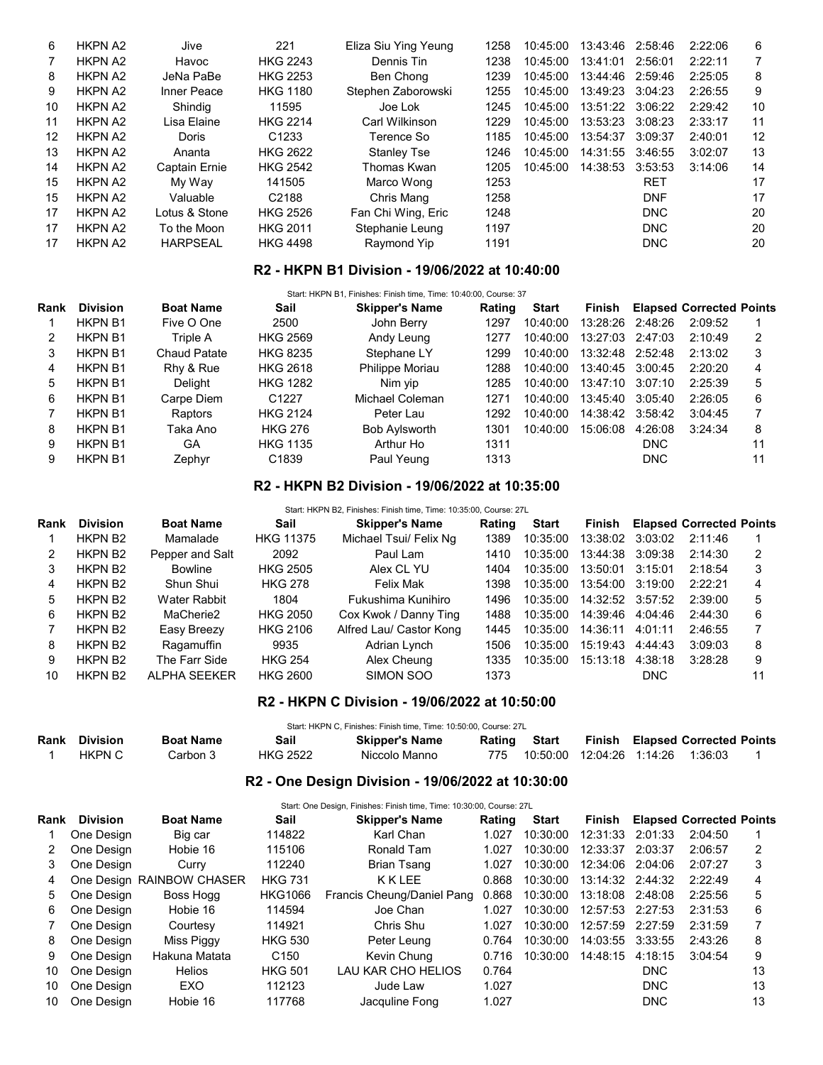| 6  | <b>HKPN A2</b> | Jive                 | 221               | Eliza Siu Ying Yeung | 1258 | 10:45:00 | 13:43:46 | 2:58:46    | 2:22:06 | 6  |
|----|----------------|----------------------|-------------------|----------------------|------|----------|----------|------------|---------|----|
| 7  | <b>HKPN A2</b> | Havoc                | <b>HKG 2243</b>   | Dennis Tin           | 1238 | 10:45:00 | 13:41:01 | 2:56:01    | 2:22:11 |    |
| 8  | <b>HKPN A2</b> | JeNa PaBe            | <b>HKG 2253</b>   | Ben Chong            | 1239 | 10:45:00 | 13:44:46 | 2:59:46    | 2:25:05 | 8  |
| 9  | <b>HKPN A2</b> | Inner Peace          | <b>HKG 1180</b>   | Stephen Zaborowski   | 1255 | 10:45:00 | 13:49:23 | 3:04:23    | 2:26:55 | 9  |
| 10 | <b>HKPN A2</b> | Shindig              | 11595             | Joe Lok              | 1245 | 10:45:00 | 13:51:22 | 3:06:22    | 2:29:42 | 10 |
| 11 | <b>HKPN A2</b> | Lisa Elaine          | <b>HKG 2214</b>   | Carl Wilkinson       | 1229 | 10:45:00 | 13:53:23 | 3:08:23    | 2:33:17 | 11 |
| 12 | <b>HKPN A2</b> | Doris                | C <sub>1233</sub> | Terence So           | 1185 | 10:45:00 | 13:54:37 | 3:09:37    | 2:40:01 | 12 |
| 13 | <b>HKPN A2</b> | Ananta               | <b>HKG 2622</b>   | Stanley Tse          | 1246 | 10:45:00 | 14:31:55 | 3:46:55    | 3:02:07 | 13 |
| 14 | <b>HKPN A2</b> | <b>Captain Ernie</b> | <b>HKG 2542</b>   | Thomas Kwan          | 1205 | 10:45:00 | 14:38:53 | 3:53:53    | 3:14:06 | 14 |
| 15 | <b>HKPN A2</b> | My Way               | 141505            | Marco Wong           | 1253 |          |          | <b>RET</b> |         | 17 |
| 15 | <b>HKPN A2</b> | Valuable             | C <sub>2188</sub> | Chris Mang           | 1258 |          |          | <b>DNF</b> |         | 17 |
| 17 | <b>HKPN A2</b> | Lotus & Stone        | <b>HKG 2526</b>   | Fan Chi Wing, Eric   | 1248 |          |          | <b>DNC</b> |         | 20 |
| 17 | <b>HKPN A2</b> | To the Moon          | <b>HKG 2011</b>   | Stephanie Leung      | 1197 |          |          | <b>DNC</b> |         | 20 |
| 17 | <b>HKPN A2</b> | <b>HARPSEAL</b>      | <b>HKG 4498</b>   | Raymond Yip          | 1191 |          |          | <b>DNC</b> |         | 20 |

## R2 - HKPN B1 Division - 19/06/2022 at 10:40:00

|      | Start: HKPN B1, Finishes: Finish time, Time: 10:40:00, Course: 37 |                  |                   |                       |        |          |                  |            |                                 |    |
|------|-------------------------------------------------------------------|------------------|-------------------|-----------------------|--------|----------|------------------|------------|---------------------------------|----|
| Rank | <b>Division</b>                                                   | <b>Boat Name</b> | Sail              | <b>Skipper's Name</b> | Rating | Start    | Finish           |            | <b>Elapsed Corrected Points</b> |    |
|      | <b>HKPN B1</b>                                                    | Five O One       | 2500              | John Berry            | 1297   | 10:40:00 | 13:28:26 2:48:26 |            | 2:09:52                         |    |
| 2    | <b>HKPN B1</b>                                                    | Triple A         | <b>HKG 2569</b>   | Andy Leung            | 1277   | 10:40:00 | 13:27:03 2:47:03 |            | 2:10:49                         |    |
| 3    | <b>HKPN B1</b>                                                    | Chaud Patate     | <b>HKG 8235</b>   | Stephane LY           | 1299   | 10:40:00 | 13:32:48 2:52:48 |            | 2:13:02                         | 3  |
| 4    | <b>HKPN B1</b>                                                    | Rhy & Rue        | <b>HKG 2618</b>   | Philippe Moriau       | 1288   | 10:40:00 | 13:40:45         | 3:00:45    | 2:20:20                         | 4  |
| 5    | <b>HKPN B1</b>                                                    | Delight          | <b>HKG 1282</b>   | Nim yip               | 1285   | 10:40:00 | 13:47:10         | 3:07:10    | 2:25:39                         | 5  |
| 6    | <b>HKPN B1</b>                                                    | Carpe Diem       | C <sub>1227</sub> | Michael Coleman       | 1271   | 10:40:00 | 13:45:40         | 3:05:40    | 2:26:05                         | 6  |
|      | <b>HKPN B1</b>                                                    | Raptors          | <b>HKG 2124</b>   | Peter Lau             | 1292   | 10:40:00 | 14:38:42 3:58:42 |            | 3:04:45                         |    |
| 8    | <b>HKPN B1</b>                                                    | Taka Ano         | <b>HKG 276</b>    | <b>Bob Aylsworth</b>  | 1301   | 10:40:00 | 15:06:08         | 4:26:08    | 3:24:34                         | 8  |
| 9    | <b>HKPN B1</b>                                                    | GA               | <b>HKG 1135</b>   | Arthur Ho             | 1311   |          |                  | <b>DNC</b> |                                 | 11 |
| 9    | <b>HKPN B1</b>                                                    | Zephyr           | C <sub>1839</sub> | Paul Yeung            | 1313   |          |                  | <b>DNC</b> |                                 | 11 |

#### R2 - HKPN B2 Division - 19/06/2022 at 10:35:00

Start: HKPN B2, Finishes: Finish time, Time: 10:35:00, Course: 27L

| Rank | <b>Division</b>     | <b>Boat Name</b>    | Sail             | <b>Skipper's Name</b>   | Rating | <b>Start</b> | Finish           |         | <b>Elapsed Corrected Points</b> |   |
|------|---------------------|---------------------|------------------|-------------------------|--------|--------------|------------------|---------|---------------------------------|---|
|      | HKPN B <sub>2</sub> | Mamalade            | <b>HKG 11375</b> | Michael Tsui/ Felix Ng  | 1389   | 10:35:00     | 13:38:02 3:03:02 |         | 2:11:46                         |   |
|      | HKPN B <sub>2</sub> | Pepper and Salt     | 2092             | Paul Lam                | 1410   | 10:35:00     | 13:44:38         | 3:09:38 | 2:14:30                         | 2 |
| 3    | HKPN B <sub>2</sub> | Bowline             | <b>HKG 2505</b>  | Alex CL YU              | 1404   | 10:35:00     | 13:50:01         | 3:15:01 | 2:18:54                         | 3 |
| 4    | HKPN B <sub>2</sub> | Shun Shui           | <b>HKG 278</b>   | <b>Felix Mak</b>        | 1398   | 10:35:00     | 13:54:00         | 3:19:00 | 2.22.21                         | 4 |
| 5    | HKPN B <sub>2</sub> | Water Rabbit        | 1804             | Fukushima Kunihiro      | 1496   | 10:35:00     | 14:32:52 3:57:52 |         | 2:39:00                         | 5 |
| 6    | HKPN B <sub>2</sub> | MaCherie2           | <b>HKG 2050</b>  | Cox Kwok / Danny Ting   | 1488   | 10:35:00     | 14:39:46         | 4:04:46 | 2.44.30                         | 6 |
|      | HKPN B <sub>2</sub> | Easy Breezy         | <b>HKG 2106</b>  | Alfred Lau/ Castor Kong | 1445   | 10:35:00     | 14:36:11         | 4:01:11 | 2.46:55                         |   |
| 8    | HKPN B <sub>2</sub> | Ragamuffin          | 9935             | Adrian Lynch            | 1506   | 10:35:00     | 15:19:43         | 4:44:43 | 3:09:03                         | 8 |
| 9    | HKPN B <sub>2</sub> | The Farr Side       | <b>HKG 254</b>   | Alex Cheung             | 1335   | 10:35:00     | 15:13:18         | 4:38:18 | 3:28:28                         | 9 |
| 10   | HKPN B <sub>2</sub> | <b>ALPHA SEEKER</b> | <b>HKG 2600</b>  | SIMON SOO               | 1373   |              |                  | DNC.    |                                 |   |

## R2 - HKPN C Division - 19/06/2022 at 10:50:00

| Start: HKPN C. Finishes: Finish time. Time: 10:50:00. Course: 27L |                  |                 |                       |        |       |        |  |                                 |  |
|-------------------------------------------------------------------|------------------|-----------------|-----------------------|--------|-------|--------|--|---------------------------------|--|
| Rank Division                                                     | <b>Boat Name</b> | Sail            | <b>Skipper's Name</b> | Rating | Start | Finish |  | <b>Elapsed Corrected Points</b> |  |
| <b>HKPN C</b>                                                     | Carbon 3         | <b>HKG 2522</b> | Niccolo Manno         |        |       |        |  |                                 |  |

# R2 - One Design Division - 19/06/2022 at 10:30:00

|      | Start: One Design, Finishes: Finish time, Time: 10:30:00, Course: 27L |                           |                  |                            |        |              |                  |            |                                 |    |
|------|-----------------------------------------------------------------------|---------------------------|------------------|----------------------------|--------|--------------|------------------|------------|---------------------------------|----|
| Rank | <b>Division</b>                                                       | <b>Boat Name</b>          | Sail             | <b>Skipper's Name</b>      | Rating | <b>Start</b> | <b>Finish</b>    |            | <b>Elapsed Corrected Points</b> |    |
|      | One Design                                                            | Big car                   | 114822           | Karl Chan                  | 1.027  | 10:30:00     | 12:31:33         | 2:01:33    | 2:04:50                         |    |
| 2    | One Design                                                            | Hobie 16                  | 115106           | Ronald Tam                 | 1.027  | 10:30:00     | 12:33:37         | 2:03:37    | 2:06:57                         |    |
| 3    | One Desian                                                            | Curry                     | 112240           | Brian Tsang                | 1.027  | 10:30:00     | 12:34:06         | 2:04:06    | 2:07:27                         | 3  |
| 4    |                                                                       | One Design RAINBOW CHASER | <b>HKG 731</b>   | KKLEE                      | 0.868  | 10:30:00     | 13:14:32 2:44:32 |            | 2:22:49                         | 4  |
| 5    | One Desian                                                            | Boss Hogg                 | <b>HKG1066</b>   | Francis Cheung/Daniel Pang | 0.868  | 10:30:00     | 13:18:08         | 2:48:08    | 2:25:56                         | 5  |
| 6    | One Design                                                            | Hobie 16                  | 114594           | Joe Chan                   | 1.027  | 10:30:00     | 12:57:53 2:27:53 |            | 2:31:53                         | 6  |
|      | One Design                                                            | Courtesy                  | 114921           | Chris Shu                  | 1.027  | 10:30:00     | 12:57:59         | 2:27:59    | 2:31:59                         |    |
| 8    | One Desian                                                            | Miss Piggy                | <b>HKG 530</b>   | Peter Leung                | 0.764  | 10:30:00     | 14:03:55         | 3:33:55    | 2:43:26                         | 8  |
| 9    | One Design                                                            | Hakuna Matata             | C <sub>150</sub> | Kevin Chung                | 0.716  | 10:30:00     | 14:48:15         | 4:18:15    | 3:04:54                         | 9  |
| 10   | One Desian                                                            | <b>Helios</b>             | <b>HKG 501</b>   | LAU KAR CHO HELIOS         | 0.764  |              |                  | <b>DNC</b> |                                 | 13 |
| 10   | One Desian                                                            | EXO                       | 112123           | Jude Law                   | 1.027  |              |                  | <b>DNC</b> |                                 | 13 |
| 10   | One Desian                                                            | Hobie 16                  | 117768           | Jacquline Fong             | 1.027  |              |                  | <b>DNC</b> |                                 | 13 |